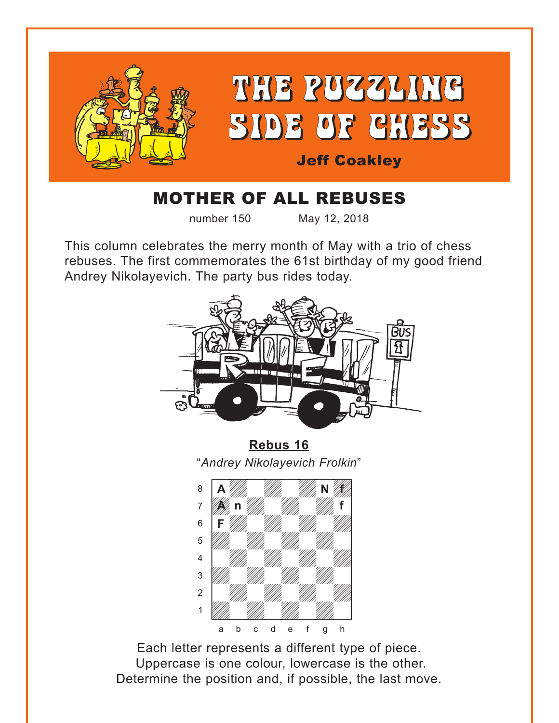<span id="page-0-0"></span>

## MOTHER OF ALL REBUSES

number 150 May 12, 2018

This column celebrates the merry month of May with a trio of chess rebuses. The first commemorates the 61st birthday of my good friend Andrey Nikolayevich. The party bus rides today.



**[Rebus 16](#page-3-0)** "*Andrey Nikolayevich Frolkin*" w\_\_\_\_\_\_\_\_w



Each letter represents a different type of piece. Uppercase is one colour, lowercase is the other. Determine the position and, if possible, the last move.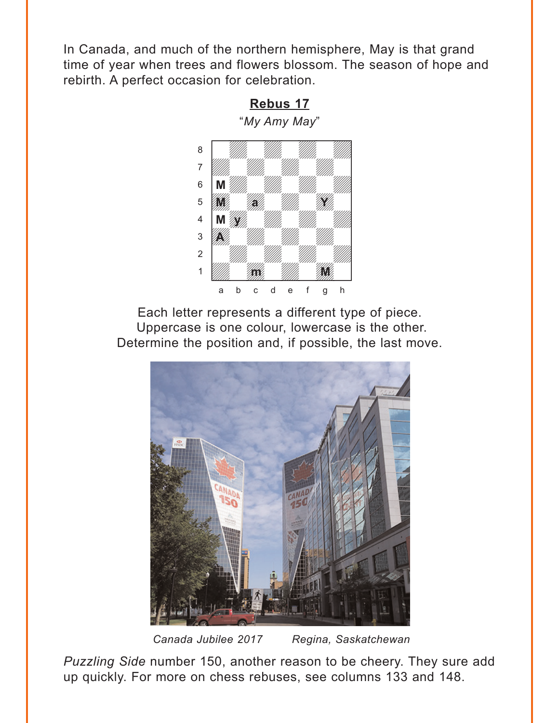<span id="page-1-0"></span>In Canada, and much of the northern hemisphere, May is that grand time of year when trees and flowers blossom. The season of hope and rebirth. A perfect occasion for celebration.





Each letter represents a different type of piece. Uppercase is one colour, lowercase is the other. Determine the position and, if possible, the last move.



*Canada Jubilee 2017 Regina, Saskatchewan*

*Puzzling Side* number 150, another reason to be cheery. They sure add up quickly. For more on chess rebuses, see columns 133 and 148.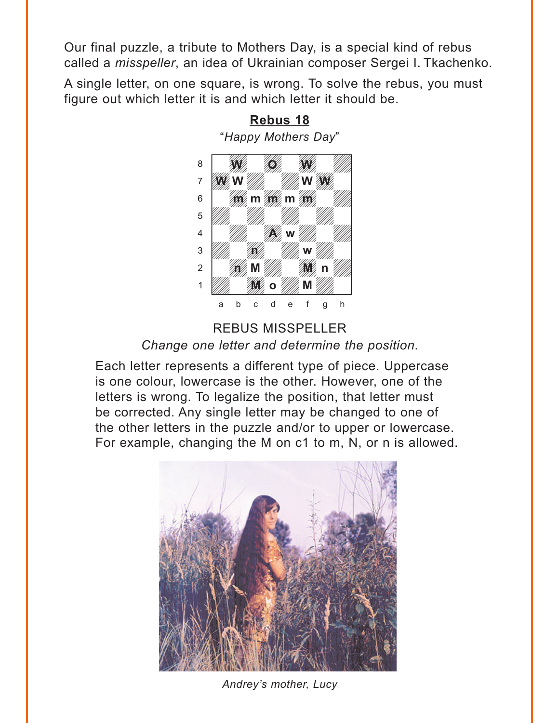<span id="page-2-0"></span>Our final puzzle, a tribute to Mothers Day, is a special kind of rebus called a *misspeller*, an idea of Ukrainian composer Sergei I. Tkachenko.

A single letter, on one square, is wrong. To solve the rebus, you must figure out which letter it is and which letter it should be.



# **[Rebus 18](#page-5-0)**

REBUS MISSPELLER *Change one letter and determine the position*.

Each letter represents a different type of piece. Uppercase is one colour, lowercase is the other. However, one of the letters is wrong. To legalize the position, that letter must be corrected. Any single letter may be changed to one of the other letters in the puzzle and/or to upper or lowercase. For example, changing the M on c1 to m, N, or n is allowed.



*Andrey's mother, Lucy*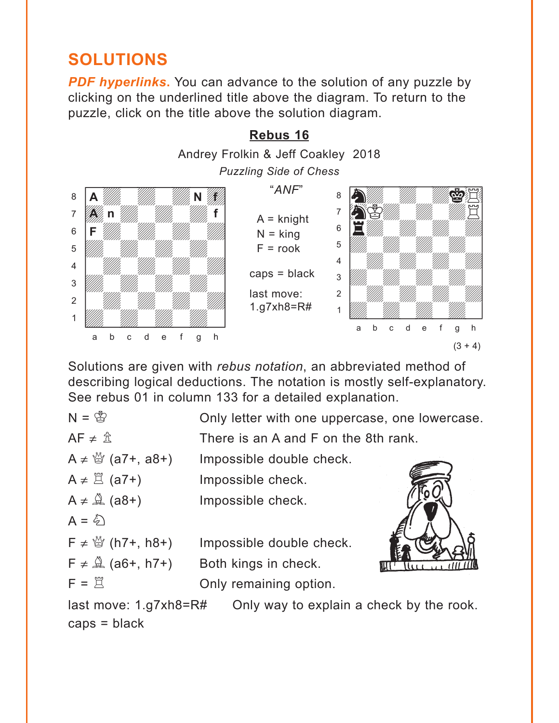## <span id="page-3-0"></span>**SOLUTIONS**

**PDF hyperlinks.** You can advance to the solution of any puzzle by clicking on the underlined title above the diagram. To return to the puzzle, click on the title above the solution diagram.



Solutions are given with *rebus notation*, an abbreviated method of describing logical deductions. The notation is mostly self-explanatory. See rebus 01 in column 133 for a detailed explanation.

| $N = \frac{1}{2}$                 | Only letter with one uppercase, one lowercase. |  |
|-----------------------------------|------------------------------------------------|--|
| $AF \neq \hat{\mathbb{Z}}$        | There is an A and F on the 8th rank.           |  |
| A $\neq$ $\frac{M}{Q}$ (a7+, a8+) | Impossible double check.                       |  |
| $A \neq \mathbb{Z}$ (a7+)         | Impossible check.                              |  |
| $A \neq \mathcal{Q}$ (a8+)        | Impossible check.                              |  |
| $A = \xi$                         |                                                |  |
| $F \neq \frac{M}{Q}$ (h7+, h8+)   | Impossible double check.                       |  |
| $F \neq \mathcal{Q}$ (a6+, h7+)   | Both kings in check.                           |  |
| $F = \overline{X}$                | Only remaining option.                         |  |
|                                   |                                                |  |

last move: 1.g7xh8=R# Only way to explain a check by the rook. caps = black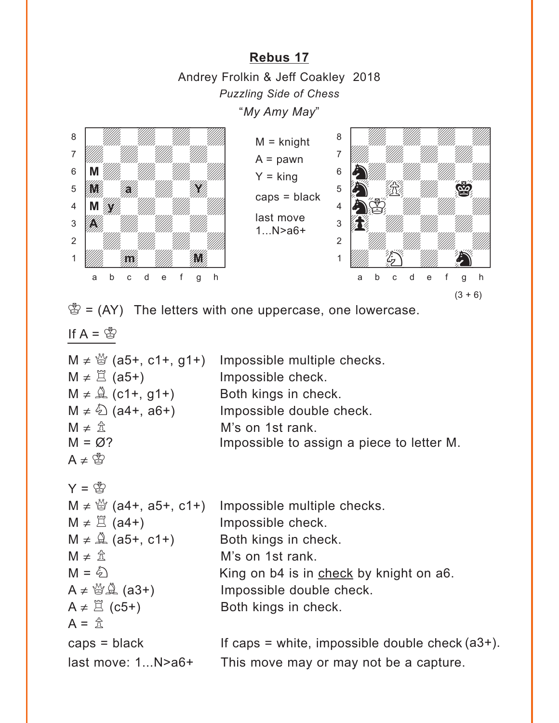<span id="page-4-0"></span>**[Rebus 17](#page-1-0)** Andrey Frolkin & Jeff Coakley 2018 *Puzzling Side of Chess* "*My Amy May*"



 $M =$  knight  $A =$  pawn  $Y =$  king caps = black last move 1...N>a6+



 $\mathcal{B} = (AY)$  The letters with one uppercase, one lowercase.

If  $A = \mathcal{B}$ 

|                              | M $\neq \frac{M}{Q}$ (a5+, c1+, g1+) Impossible multiple checks. |
|------------------------------|------------------------------------------------------------------|
| $M \neq \mathbb{Z}$ (a5+)    | Impossible check.                                                |
| $M \neq \hat{A}$ (c1+, g1+)  | Both kings in check.                                             |
| $M \neq \hat{\&}$ (a4+, a6+) | Impossible double check.                                         |
| $M \neq \mathbb{Z}$          | M's on 1st rank.                                                 |
| $M = \varnothing$ ?          | Impossible to assign a piece to letter M.                        |
| $A \neq \mathcal{B}$         |                                                                  |

```
Y = \bigotimesM \neq \frac{M}{Q} (a4+, a5+, c1+) Impossible multiple checks.
M \neq \Xi (a4+) Impossible check.
M \neq \hat{A} (a5+, c1+) Both kings in check.
M \neq \hat{\pi} M's on 1st rank.
M = \hat{\mathbb{Q}} King on b4 is in check by knight on a6.
A \neq \mathcal{B}(\mathcal{A}) (a3+) Impossible double check.
A \neq \mathbb{Z} (c5+) Both kings in check.
A = \hat{\pi}caps = black If caps = white, impossible double check 
(a3+).last move: 1...N>a6+ This move may or may not be a capture.
```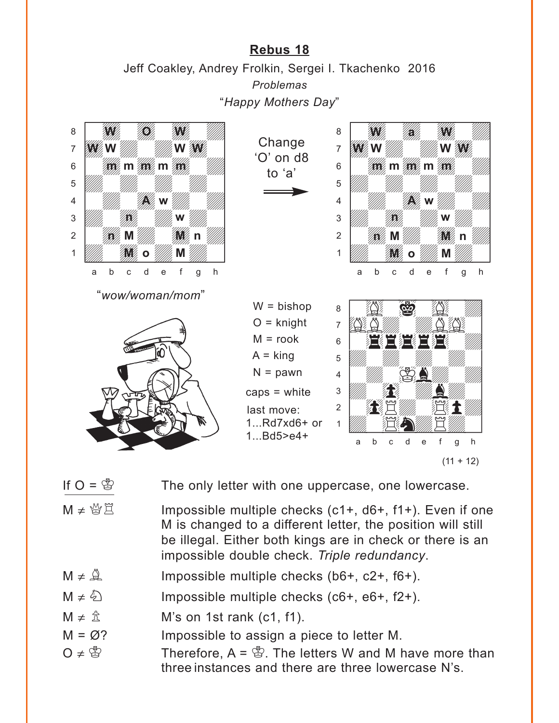#### **[Rebus 18](#page-2-0)**

Jeff Coakley, Andrey Frolkin, Sergei I. Tkachenko 2016 *Problemas* "*Happy Mothers Day*"

<span id="page-5-0"></span>

If  $O = \mathbb{S}$  The only letter with one uppercase, one lowercase.

- $M \neq \frac{M}{2}$  Impossible multiple checks (c1+, d6+, f1+). Even if one M is changed to a different letter, the position will still be illegal. Either both kings are in check or there is an impossible double check. *Triple redundancy*.
- $M \neq \mathbb{Q}$  Impossible multiple checks (b6+, c2+, f6+).
- $M \neq \hat{\mathbb{Q}}$  Impossible multiple checks (c6+, e6+, f2+).
- $M \neq \hat{\mathbb{Z}}$  M's on 1st rank (c1, f1).
- $M = \varnothing$ ? Impossible to assign a piece to letter M.
- O ≠  $\mathbb{S}$  Therefore, A =  $\mathbb{S}$ . The letters W and M have more than three instances and there are three lowercase N's.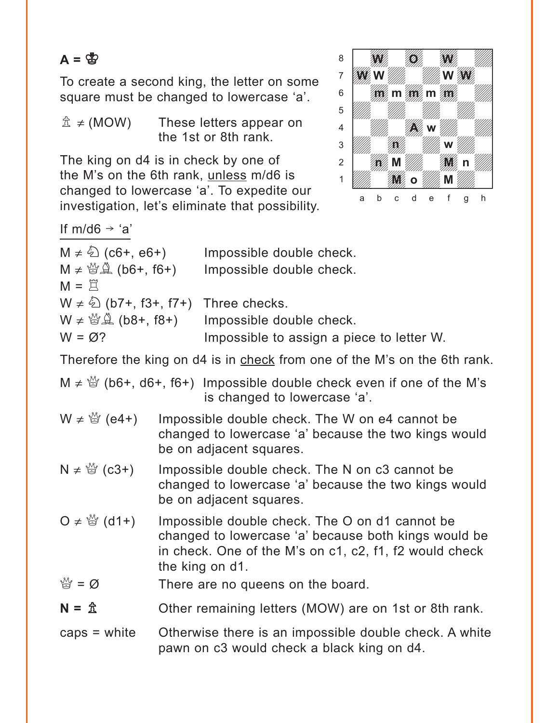### $A = \mathbb{S}$

To create a second king, the letter on some square must be changed to lowercase 'a'.

 $\hat{\mathbb{Z}} \neq$  (MOW) These letters appear on the 1st or 8th rank.

The king on d4 is in check by one of the M's on the 6th rank, unless m/d6 is changed to lowercase 'a'. To expedite our investigation, let's eliminate that possibility.



If m/d6  $\rightarrow$  'a'

| $M \neq \frac{\xi}{2}$ (c6+, e6+)<br>$M \neq \frac{M}{2}$ (b6+, f6+) | Impossible double check.<br>Impossible double check.             |
|----------------------------------------------------------------------|------------------------------------------------------------------|
| $M = \overset{\sim}{\vee}$                                           |                                                                  |
| $W \neq \hat{\mathbb{Q}}$ (b7+, f3+, f7+) Three checks.              |                                                                  |
|                                                                      | $W \neq \mathcal{Q}(\Delta)$ (b8+, f8+) Impossible double check. |
| $W = \varnothing?$                                                   | Impossible to assign a piece to letter W.                        |

Therefore the king on d4 is in check from one of the M's on the 6th rank.

| $M \neq \frac{M}{Q}$ (b6+, d6+, f6+) Impossible double check even if one of the M's |
|-------------------------------------------------------------------------------------|
| is changed to lowercase 'a'.                                                        |

- $W \neq \frac{M}{Q}$  (e4+) Impossible double check. The W on e4 cannot be changed to lowercase 'a' because the two kings would be on adjacent squares.
- $N \neq \frac{M}{Q}$  (c3+) Impossible double check. The N on c3 cannot be changed to lowercase 'a' because the two kings would be on adjacent squares.
- O  $\neq$   $\stackrel{M}{\cong}$  (d1+) Impossible double check. The O on d1 cannot be changed to lowercase 'a' because both kings would be in check. One of the M's on c1, c2, f1, f2 would check the king on d1.
- $\mathbb{Q} = \emptyset$  There are no queens on the board.
- $N = \hat{\mathbb{Z}}$  Other remaining letters (MOW) are on 1st or 8th rank.
- caps = white Otherwise there is an impossible double check. A white pawn on c3 would check a black king on d4.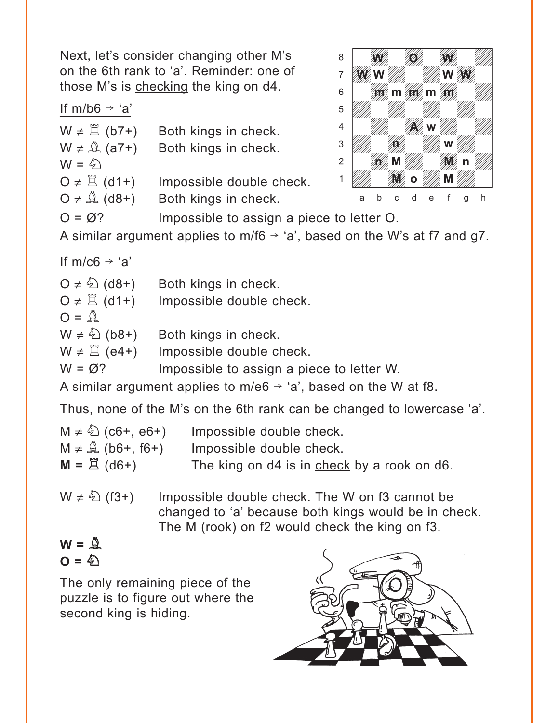Next, let's consider changing other M's on the 6th rank to 'a'. Reminder: one of those M's is checking the king on d4.

#### If  $m/b6 \rightarrow 'a'$

| $W \neq \Xi$ (b7+)<br>$W \neq \mathcal{Q}(a7+)$<br>$W = \hat{\varphi}$ | Both kings in check.<br>Both kings in check.     |
|------------------------------------------------------------------------|--------------------------------------------------|
| $O \neq \Xi$ (d1+)<br>$Q \neq \mathcal{Q}$ (d8+)                       | Impossible double check.<br>Both kings in check. |
| $Q = \emptyset$ ?                                                      | Impossible to assign a pie                       |



Impossible to assign a piece to letter O.

A similar argument applies to m/f6  $\rightarrow$  'a', based on the W's at f7 and g7.

If m/c6  $\rightarrow$  'a'

| $Q \neq \sqrt[5]{2}$ (d8+)      | Both kings in check.                                                        |
|---------------------------------|-----------------------------------------------------------------------------|
| O $\neq \Xi$ (d1+)              | Impossible double check.                                                    |
| $O = \mathcal{Q}$               |                                                                             |
| $W \neq \hat{\mathbb{Q}}$ (b8+) | Both kings in check.                                                        |
| $W \neq \Xi$ (e4+)              | Impossible double check.                                                    |
| $W = \varnothing?$              | Impossible to assign a piece to letter W.                                   |
|                                 | A similar argument applies to m/e6 $\rightarrow$ 'a', based on the W at f8. |

Thus, none of the M's on the 6th rank can be changed to lowercase 'a'.

| $M \neq \frac{\xi}{2}$ (c6+, e6+) | Impossible double check.                    |
|-----------------------------------|---------------------------------------------|
| $M \neq \mathbb{Q}$ (b6+, f6+)    | Impossible double check.                    |
| $M = \overset{m}{\Box}$ (d6+)     | The king on d4 is in check by a rook on d6. |

 $W \neq \hat{\mathbb{Q}}$  (f3+) Impossible double check. The W on f3 cannot be changed to 'a' because both kings would be in check. The M (rook) on f2 would check the king on f3.

 $W = \mathcal{Q}$  $O = \hat{\phi}$ 

The only remaining piece of the puzzle is to figure out where the second king is hiding.